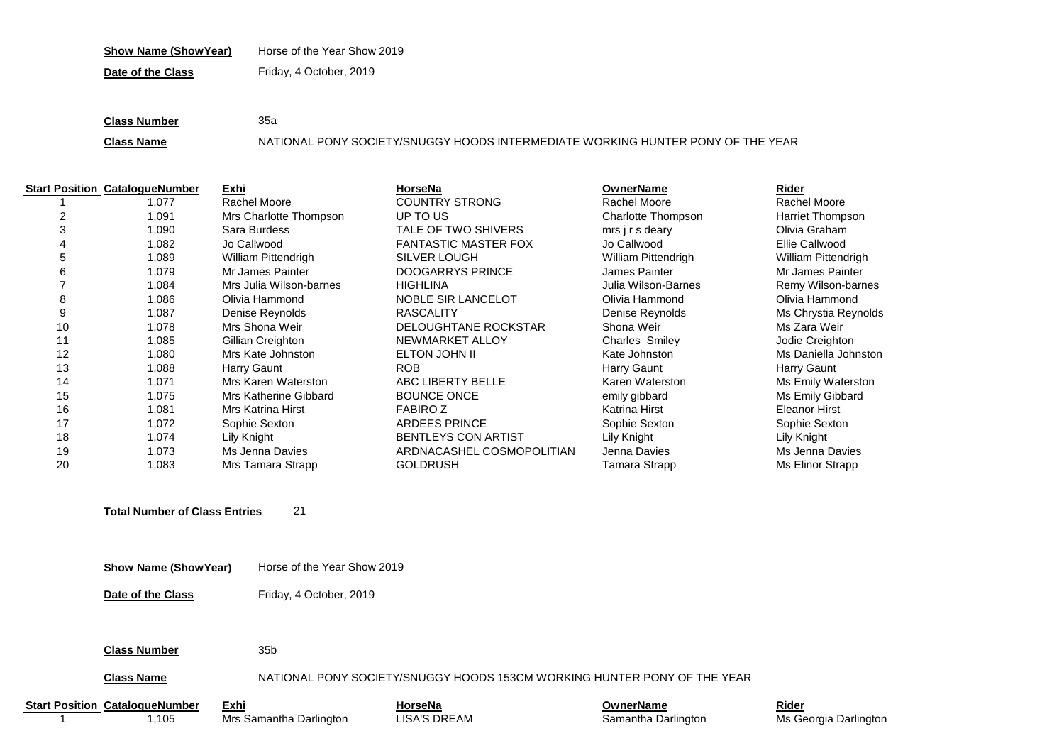### **Show Name (ShowYear)** Horse of the Year Show 2019

**Date of the Class** Friday, 4 October, 2019

**Class Number** 35a

**Class Name** NATIONAL PONY SOCIETY/SNUGGY HOODS INTERMEDIATE WORKING HUNTER PONY OF THE YEAR

|    | <b>Start Position CatalogueNumber</b> | Exhi                       | HorseNa                     | <b>OwnerName</b>           | Rider                      |
|----|---------------------------------------|----------------------------|-----------------------------|----------------------------|----------------------------|
|    | .077                                  | Rachel Moore               | <b>COUNTRY STRONG</b>       | Rachel Moore               | Rachel Moore               |
| 2  | 1.091                                 | Mrs Charlotte Thompson     | UP TO US                    | Charlotte Thompson         | Harriet Thompson           |
| 3  | 1,090                                 | Sara Burdess               | TALE OF TWO SHIVERS         | mrs i r s deary            | Olivia Graham              |
|    | 082.                                  | Jo Callwood                | <b>FANTASTIC MASTER FOX</b> | Jo Callwood                | Ellie Callwood             |
| 5  | 089. ا                                | <b>William Pittendrigh</b> | SILVER LOUGH                | <b>William Pittendrigh</b> | <b>William Pittendrigh</b> |
| 6  | 1,079                                 | Mr James Painter           | DOOGARRYS PRINCE            | James Painter              | Mr James Painter           |
|    | 1,084                                 | Mrs Julia Wilson-barnes    | <b>HIGHLINA</b>             | Julia Wilson-Barnes        | Remy Wilson-barnes         |
| 8  | 086. ا                                | Olivia Hammond             | <b>NOBLE SIR LANCELOT</b>   | Olivia Hammond             | Olivia Hammond             |
| 9  | 1,087                                 | Denise Reynolds            | <b>RASCALITY</b>            | Denise Reynolds            | Ms Chrystia Reynolds       |
| 10 | 1,078                                 | Mrs Shona Weir             | <b>DELOUGHTANE ROCKSTAR</b> | Shona Weir                 | Ms Zara Weir               |
| 11 | 1,085                                 | Gillian Creighton          | NEWMARKET ALLOY             | <b>Charles Smiley</b>      | Jodie Creighton            |
| 12 | 080,                                  | Mrs Kate Johnston          | ELTON JOHN II               | Kate Johnston              | Ms Daniella Johnston       |
| 13 | 1.088                                 | Harry Gaunt                | <b>ROB</b>                  | Harry Gaunt                | Harry Gaunt                |
| 14 | 1,071                                 | Mrs Karen Waterston        | ABC LIBERTY BELLE           | Karen Waterston            | Ms Emily Waterston         |
| 15 | 1,075                                 | Mrs Katherine Gibbard      | <b>BOUNCE ONCE</b>          | emily gibbard              | Ms Emily Gibbard           |
| 16 | 1,081                                 | <b>Mrs Katrina Hirst</b>   | <b>FABIROZ</b>              | Katrina Hirst              | Eleanor Hirst              |
| 17 | 1,072                                 | Sophie Sexton              | <b>ARDEES PRINCE</b>        | Sophie Sexton              | Sophie Sexton              |
| 18 | 1,074                                 | Lily Knight                | <b>BENTLEYS CON ARTIST</b>  | Lily Knight                | Lily Knight                |
| 19 | 1,073                                 | Ms Jenna Davies            | ARDNACASHEL COSMOPOLITIAN   | Jenna Davies               | Ms Jenna Davies            |
| 20 | 1,083                                 | Mrs Tamara Strapp          | <b>GOLDRUSH</b>             | Tamara Strapp              | Ms Elinor Strapp           |

## **Total Number of Class Entries** 21

**Date of the Class** Friday, 4 October, 2019

#### **Class Number** 35b

## **Class Name** NATIONAL PONY SOCIETY/SNUGGY HOODS 153CM WORKING HUNTER PONY OF THE YEAR

**Start Position CatalogueNumber Exhi**<br>
1,105 Mrs Samantha Darlington **DISA'S DREAM CONFIGNAL CONFIGNATION CONFIGNATION CONFIGNATION CONFIGNATION**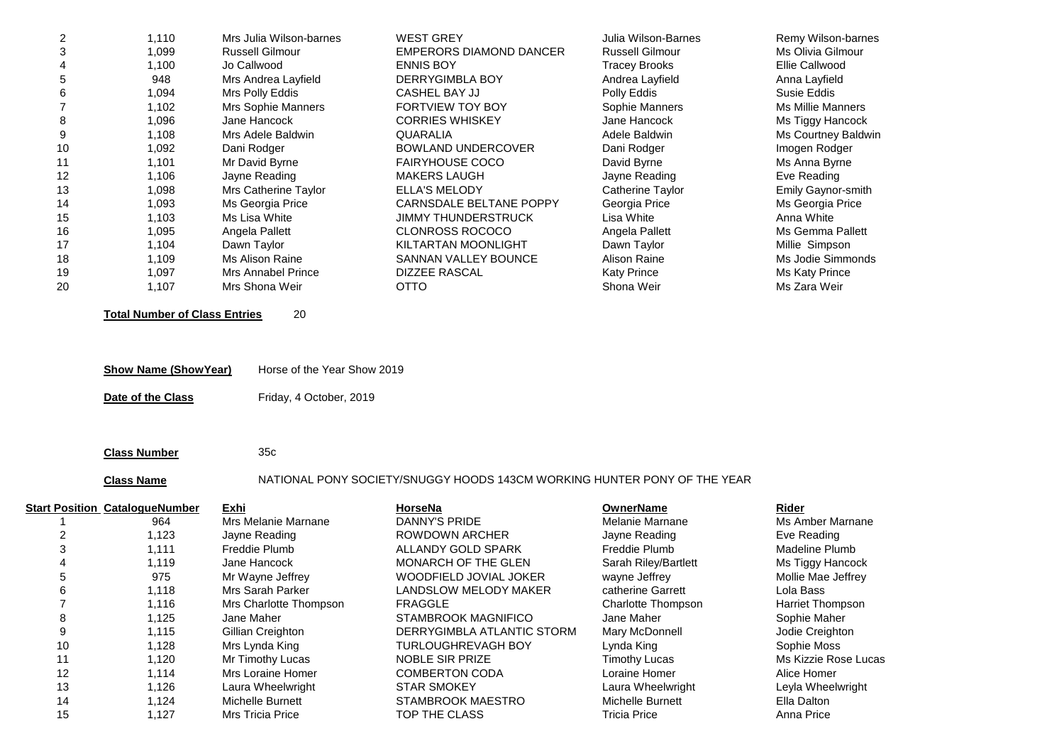| 2  | 1,110 | Mrs Julia Wilson-barnes   | <b>WEST GREY</b>           | Julia Wilson-Barnes    | Remy Wilson-barnes  |
|----|-------|---------------------------|----------------------------|------------------------|---------------------|
| 3  | 1,099 | <b>Russell Gilmour</b>    | EMPERORS DIAMOND DANCER    | <b>Russell Gilmour</b> | Ms Olivia Gilmour   |
| 4  | 1,100 | Jo Callwood               | <b>ENNIS BOY</b>           | <b>Tracey Brooks</b>   | Ellie Callwood      |
| 5  | 948   | Mrs Andrea Layfield       | DERRYGIMBLA BOY            | Andrea Layfield        | Anna Layfield       |
| 6  | 1,094 | Mrs Polly Eddis           | CASHEL BAY JJ              | Polly Eddis            | Susie Eddis         |
|    | 1,102 | <b>Mrs Sophie Manners</b> | <b>FORTVIEW TOY BOY</b>    | Sophie Manners         | Ms Millie Manners   |
| 8  | 1,096 | Jane Hancock              | <b>CORRIES WHISKEY</b>     | Jane Hancock           | Ms Tiggy Hancock    |
| 9  | 1,108 | Mrs Adele Baldwin         | QUARALIA                   | Adele Baldwin          | Ms Courtney Baldwin |
| 10 | 1,092 | Dani Rodger               | BOWLAND UNDERCOVER         | Dani Rodger            | Imogen Rodger       |
| 11 | 1,101 | Mr David Byrne            | <b>FAIRYHOUSE COCO</b>     | David Byrne            | Ms Anna Byrne       |
| 12 | 1,106 | Jayne Reading             | <b>MAKERS LAUGH</b>        | Jayne Reading          | Eve Reading         |
| 13 | 1,098 | Mrs Catherine Taylor      | <b>ELLA'S MELODY</b>       | Catherine Taylor       | Emily Gaynor-smith  |
| 14 | 1,093 | Ms Georgia Price          | CARNSDALE BELTANE POPPY    | Georgia Price          | Ms Georgia Price    |
| 15 | 1,103 | Ms Lisa White             | <b>JIMMY THUNDERSTRUCK</b> | Lisa White             | Anna White          |
| 16 | 1,095 | Angela Pallett            | <b>CLONROSS ROCOCO</b>     | Angela Pallett         | Ms Gemma Pallett    |
| 17 | 1,104 | Dawn Taylor               | KILTARTAN MOONLIGHT        | Dawn Taylor            | Millie Simpson      |
| 18 | 1,109 | Ms Alison Raine           | SANNAN VALLEY BOUNCE       | Alison Raine           | Ms Jodie Simmonds   |
| 19 | 1,097 | <b>Mrs Annabel Prince</b> | <b>DIZZEE RASCAL</b>       | <b>Katy Prince</b>     | Ms Katy Prince      |
| 20 | 1,107 | Mrs Shona Weir            | <b>OTTO</b>                | Shona Weir             | Ms Zara Weir        |

**Total Number of Class Entries** 20

| <b>Show Name (Show Year)</b> | Horse of the Year Show 2019 |
|------------------------------|-----------------------------|
|------------------------------|-----------------------------|

**Date of the Class** Friday, 4 October, 2019

**Class Number** 35c

# **Class Name** NATIONAL PONY SOCIETY/SNUGGY HOODS 143CM WORKING HUNTER PONY OF THE YEAR

|    | <b>Start Position CatalogueNumber</b> | Exhi                    | HorseNa                    | OwnerName               | Rider                   |
|----|---------------------------------------|-------------------------|----------------------------|-------------------------|-------------------------|
|    | 964                                   | Mrs Melanie Marnane     | DANNY'S PRIDE              | Melanie Marnane         | Ms Amber Marnane        |
|    | 1,123                                 | Jayne Reading           | ROWDOWN ARCHER             | Jayne Reading           | Eve Reading             |
|    | 1,111                                 | Freddie Plumb           | ALLANDY GOLD SPARK         | Freddie Plumb           | Madeline Plumb          |
|    | 1.119                                 | Jane Hancock            | <b>MONARCH OF THE GLEN</b> | Sarah Riley/Bartlett    | Ms Tiggy Hancock        |
| 5  | 975                                   | Mr Wayne Jeffrey        | WOODFIELD JOVIAL JOKER     | wayne Jeffrey           | Mollie Mae Jeffrey      |
| 6  | 1,118                                 | Mrs Sarah Parker        | LANDSLOW MELODY MAKER      | catherine Garrett       | Lola Bass               |
|    | 1,116                                 | Mrs Charlotte Thompson  | <b>FRAGGLE</b>             | Charlotte Thompson      | <b>Harriet Thompson</b> |
| 8  | 1,125                                 | Jane Maher              | STAMBROOK MAGNIFICO        | Jane Maher              | Sophie Maher            |
| 9  | 1,115                                 | Gillian Creighton       | DERRYGIMBLA ATLANTIC STORM | Mary McDonnell          | Jodie Creighton         |
| 10 | 1,128                                 | Mrs Lynda King          | <b>TURLOUGHREVAGH BOY</b>  | Lynda King              | Sophie Moss             |
|    | 1,120                                 | Mr Timothy Lucas        | NOBLE SIR PRIZE            | <b>Timothy Lucas</b>    | Ms Kizzie Rose Lucas    |
| 12 | 1.114                                 | Mrs Loraine Homer       | <b>COMBERTON CODA</b>      | Loraine Homer           | Alice Homer             |
| 13 | 1,126                                 | Laura Wheelwright       | <b>STAR SMOKEY</b>         | Laura Wheelwright       | Leyla Wheelwright       |
| 14 | 1,124                                 | <b>Michelle Burnett</b> | STAMBROOK MAESTRO          | <b>Michelle Burnett</b> | Ella Dalton             |
| 15 | 1.127                                 | <b>Mrs Tricia Price</b> | TOP THE CLASS              | <b>Tricia Price</b>     | Anna Price              |